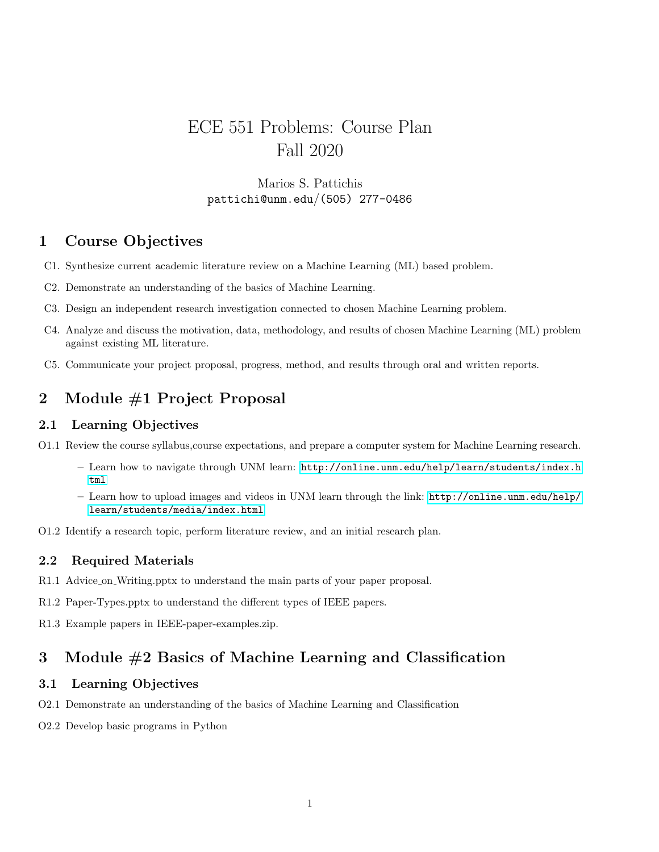# ECE 551 Problems: Course Plan Fall 2020

### Marios S. Pattichis pattichi@unm.edu/(505) 277-0486

# 1 Course Objectives

- C1. Synthesize current academic literature review on a Machine Learning (ML) based problem.
- C2. Demonstrate an understanding of the basics of Machine Learning.
- C3. Design an independent research investigation connected to chosen Machine Learning problem.
- C4. Analyze and discuss the motivation, data, methodology, and results of chosen Machine Learning (ML) problem against existing ML literature.
- C5. Communicate your project proposal, progress, method, and results through oral and written reports.

# 2 Module #1 Project Proposal

#### 2.1 Learning Objectives

- O1.1 Review the course syllabus,course expectations, and prepare a computer system for Machine Learning research.
	- Learn how to navigate through UNM learn: [http://online.unm.edu/help/learn/students/index.h](http://online.unm.edu/help/learn/students/index.html) t.ml
	- Learn how to upload images and videos in UNM learn through the link: [http://online.unm.edu/help/](http://online.unm.edu/help/learn/students/media/index.html) [learn/students/media/index.html](http://online.unm.edu/help/learn/students/media/index.html)
- O1.2 Identify a research topic, perform literature review, and an initial research plan.

#### 2.2 Required Materials

- R1.1 Advice on Writing.pptx to understand the main parts of your paper proposal.
- R1.2 Paper-Types.pptx to understand the different types of IEEE papers.
- R1.3 Example papers in IEEE-paper-examples.zip.

# 3 Module #2 Basics of Machine Learning and Classification

#### 3.1 Learning Objectives

- O2.1 Demonstrate an understanding of the basics of Machine Learning and Classification
- O2.2 Develop basic programs in Python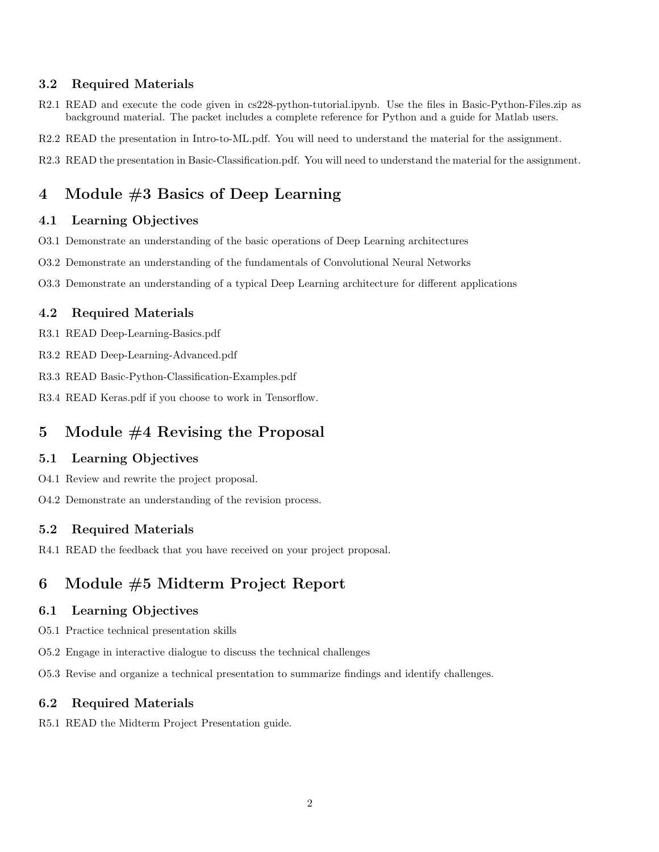#### 3.2 Required Materials

- R2.1 READ and execute the code given in cs228-python-tutorial.ipynb. Use the files in Basic-Python-Files.zip as background material. The packet includes a complete reference for Python and a guide for Matlab users.
- R2.2 READ the presentation in Intro-to-ML.pdf. You will need to understand the material for the assignment.
- R2.3 READ the presentation in Basic-Classification.pdf. You will need to understand the material for the assignment.

# 4 Module #3 Basics of Deep Learning

#### 4.1 Learning Objectives

- O3.1 Demonstrate an understanding of the basic operations of Deep Learning architectures
- O3.2 Demonstrate an understanding of the fundamentals of Convolutional Neural Networks
- O3.3 Demonstrate an understanding of a typical Deep Learning architecture for different applications

#### 4.2 Required Materials

- R3.1 READ Deep-Learning-Basics.pdf
- R3.2 READ Deep-Learning-Advanced.pdf
- R3.3 READ Basic-Python-Classification-Examples.pdf
- R3.4 READ Keras.pdf if you choose to work in Tensorflow.

### 5 Module #4 Revising the Proposal

#### 5.1 Learning Objectives

- O4.1 Review and rewrite the project proposal.
- O4.2 Demonstrate an understanding of the revision process.

#### 5.2 Required Materials

R4.1 READ the feedback that you have received on your project proposal.

# 6 Module #5 Midterm Project Report

#### 6.1 Learning Objectives

- O5.1 Practice technical presentation skills
- O5.2 Engage in interactive dialogue to discuss the technical challenges
- O5.3 Revise and organize a technical presentation to summarize findings and identify challenges.

#### 6.2 Required Materials

R5.1 READ the Midterm Project Presentation guide.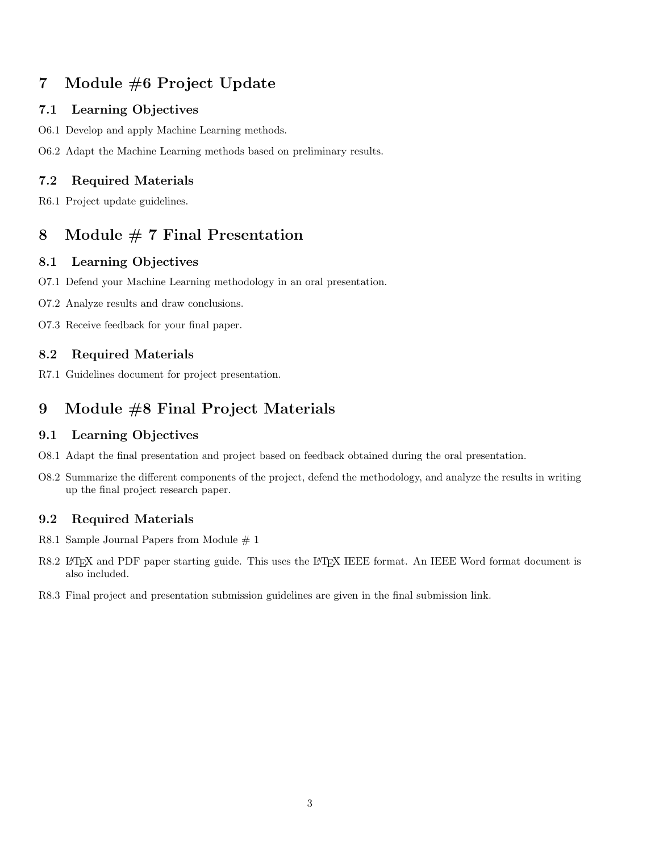# 7 Module #6 Project Update

### 7.1 Learning Objectives

- O6.1 Develop and apply Machine Learning methods.
- O6.2 Adapt the Machine Learning methods based on preliminary results.

## 7.2 Required Materials

R6.1 Project update guidelines.

# 8 Module # 7 Final Presentation

### 8.1 Learning Objectives

- O7.1 Defend your Machine Learning methodology in an oral presentation.
- O7.2 Analyze results and draw conclusions.
- O7.3 Receive feedback for your final paper.

### 8.2 Required Materials

R7.1 Guidelines document for project presentation.

# 9 Module #8 Final Project Materials

#### 9.1 Learning Objectives

- O8.1 Adapt the final presentation and project based on feedback obtained during the oral presentation.
- O8.2 Summarize the different components of the project, defend the methodology, and analyze the results in writing up the final project research paper.

### 9.2 Required Materials

- R8.1 Sample Journal Papers from Module  $# 1$
- R8.2 LATEX and PDF paper starting guide. This uses the LATEX IEEE format. An IEEE Word format document is also included.
- R8.3 Final project and presentation submission guidelines are given in the final submission link.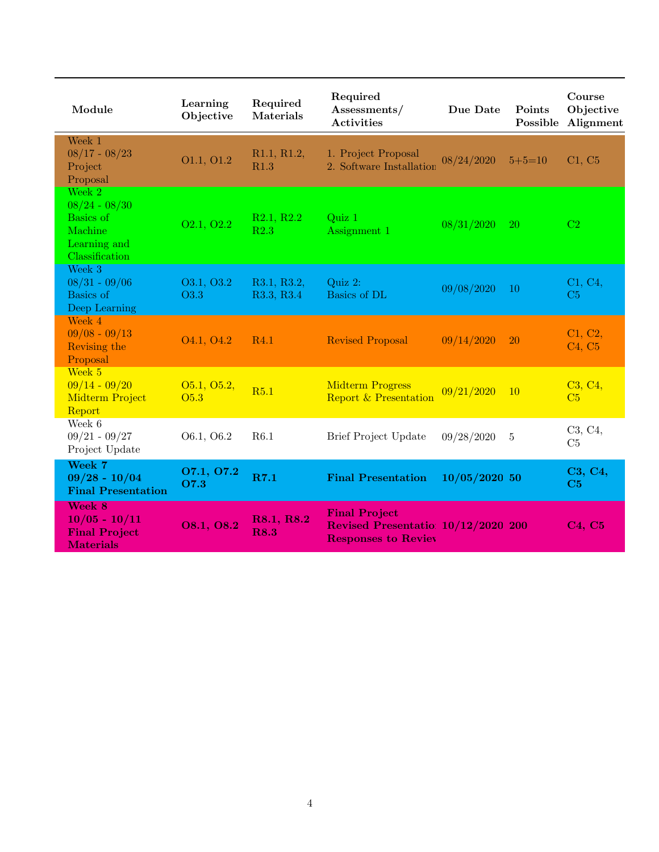| Module                                                                                       | Learning<br>Objective               | Required<br><b>Materials</b> | Required<br>Assessments/<br><b>Activities</b>                                             | Due Date        | Points<br>Possible | Course<br>Objective<br>Alignment           |
|----------------------------------------------------------------------------------------------|-------------------------------------|------------------------------|-------------------------------------------------------------------------------------------|-----------------|--------------------|--------------------------------------------|
| Week 1<br>$08/17 - 08/23$<br>Project<br>Proposal                                             | O1.1, O1.2                          | R1.1, R1.2,<br>R1.3          | 1. Project Proposal<br>2. Software Installation                                           | 08/24/2020      | $5 + 5 = 10$       | C1, C5                                     |
| Week $2$<br>$08/24 - 08/30$<br><b>Basics</b> of<br>Machine<br>Learning and<br>Classification | O <sub>2.1</sub> , O <sub>2.2</sub> | R2.1, R2.2<br>R2.3           | Quiz 1<br>Assignment 1                                                                    | 08/31/2020      | <b>20</b>          | C <sub>2</sub>                             |
| Week 3<br>$08/31 - 09/06$<br>Basics of<br>Deep Learning                                      | O3.1, O3.2<br>O3.3                  | R3.1, R3.2,<br>R3.3, R3.4    | Quiz 2:<br>Basics of DL                                                                   | 09/08/2020      | 10                 | C1, C4,<br>C <sub>5</sub>                  |
| Week 4<br>$09/08 - 09/13$<br>Revising the<br>Proposal                                        | O <sub>4.1</sub> , O <sub>4.2</sub> | R <sub>4.1</sub>             | <b>Revised Proposal</b>                                                                   | 09/14/2020      | 20                 | C1, C2,<br>C <sub>4</sub> , C <sub>5</sub> |
| Week 5<br>$09/14 - 09/20$<br>Midterm Project<br>Report                                       | 05.1, 05.2,<br>O <sub>5.3</sub>     | R5.1                         | <b>Midterm Progress</b><br><b>Report &amp; Presentation</b>                               | 09/21/2020      | <sup>10</sup>      | C3, C4,<br>C <sub>5</sub>                  |
| Week 6<br>$09/21 - 09/27$<br>Project Update                                                  | O6.1, O6.2                          | R6.1                         | Brief Project Update                                                                      | 09/28/2020      | 5                  | C3, C4,<br>C5                              |
| Week 7<br>$09/28 - 10/04$<br><b>Final Presentation</b>                                       | O7.1, O7.2<br>O7.3                  | R7.1                         | <b>Final Presentation</b>                                                                 | $10/05/2020$ 50 |                    | C3, C4,<br>C5                              |
| Week 8<br>$10/05 - 10/11$<br><b>Final Project</b><br><b>Materials</b>                        | O8.1, O8.2                          | R8.1, R8.2<br><b>R8.3</b>    | <b>Final Project</b><br>Revised Presentatio: 10/12/2020 200<br><b>Responses to Reviev</b> |                 |                    | C4, C5                                     |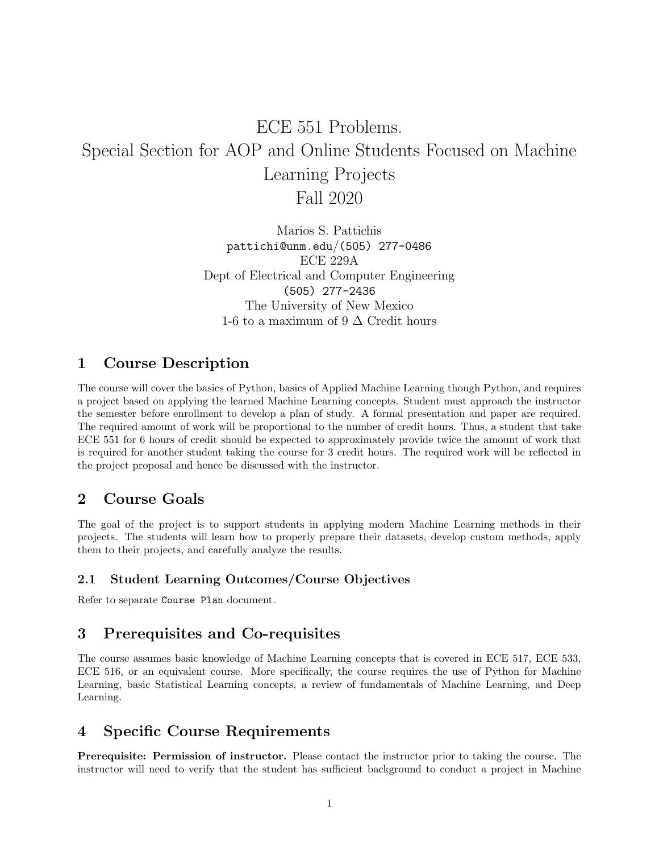# ECE 551 Problems. Special Section for AOP and Online Students Focused on Machine Learning Projects Fall 2020

Marios S. Pattichis pattichi@unm.edu/(505) 277-0486 ECE 229A Dept of Electrical and Computer Engineering (505) 277-2436 The University of New Mexico 1-6 to a maximum of 9  $\Delta$  Credit hours

# 1 Course Description

The course will cover the basics of Python, basics of Applied Machine Learning though Python, and requires a project based on applying the learned Machine Learning concepts. Student must approach the instructor the semester before enrollment to develop a plan of study. A formal presentation and paper are required. The required amount of work will be proportional to the number of credit hours. Thus, a student that take ECE 551 for 6 hours of credit should be expected to approximately provide twice the amount of work that is required for another student taking the course for 3 credit hours. The required work will be reflected in the project proposal and hence be discussed with the instructor.

# 2 Course Goals

The goal of the project is to support students in applying modern Machine Learning methods in their projects. The students will learn how to properly prepare their datasets, develop custom methods, apply them to their projects, and carefully analyze the results.

#### 2.1 Student Learning Outcomes/Course Objectives

Refer to separate Course Plan document.

# 3 Prerequisites and Co-requisites

The course assumes basic knowledge of Machine Learning concepts that is covered in ECE 517, ECE 533, ECE 516, or an equivalent course. More specifically, the course requires the use of Python for Machine Learning, basic Statistical Learning concepts, a review of fundamentals of Machine Learning, and Deep Learning.

# 4 Specific Course Requirements

Prerequisite: Permission of instructor. Please contact the instructor prior to taking the course. The instructor will need to verify that the student has sufficient background to conduct a project in Machine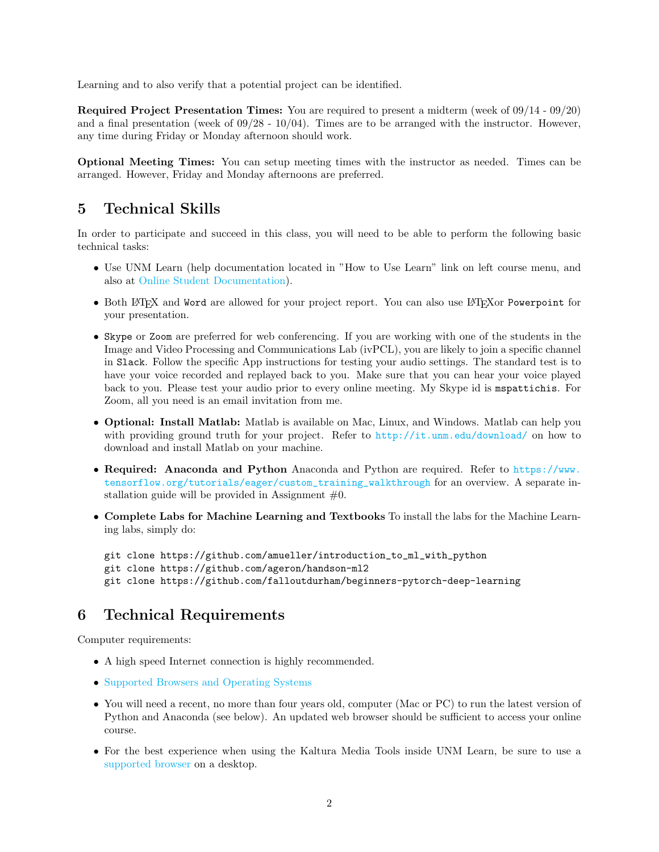Learning and to also verify that a potential project can be identified.

Required Project Presentation Times: You are required to present a midterm (week of 09/14 - 09/20) and a final presentation (week of  $09/28 - 10/04$ ). Times are to be arranged with the instructor. However, any time during Friday or Monday afternoon should work.

Optional Meeting Times: You can setup meeting times with the instructor as needed. Times can be arranged. However, Friday and Monday afternoons are preferred.

# 5 Technical Skills

In order to participate and succeed in this class, you will need to be able to perform the following basic technical tasks:

- Use UNM Learn (help documentation located in "How to Use Learn" link on left course menu, and also at [Online Student Documentation\)](http://online.unm.edu/help/learn/students/).
- Both LATEX and Word are allowed for your project report. You can also use LATEXor Powerpoint for your presentation.
- Skype or Zoom are preferred for web conferencing. If you are working with one of the students in the Image and Video Processing and Communications Lab (ivPCL), you are likely to join a specific channel in Slack. Follow the specific App instructions for testing your audio settings. The standard test is to have your voice recorded and replayed back to you. Make sure that you can hear your voice played back to you. Please test your audio prior to every online meeting. My Skype id is mspattichis. For Zoom, all you need is an email invitation from me.
- **Optional: Install Matlab:** Matlab is available on Mac, Linux, and Windows. Matlab can help you with providing ground truth for your project. Refer to <http://it.unm.edu/download/> on how to download and install Matlab on your machine.
- Required: Anaconda and Python Anaconda and Python are required. Refer to [https://www.](https://www.tensorflow.org/tutorials/eager/custom_training_walkthrough) [tensorflow.org/tutorials/eager/custom\\_training\\_walkthrough](https://www.tensorflow.org/tutorials/eager/custom_training_walkthrough) for an overview. A separate installation guide will be provided in Assignment  $#0$ .
- Complete Labs for Machine Learning and Textbooks To install the labs for the Machine Learning labs, simply do:

```
git clone https://github.com/amueller/introduction_to_ml_with_python
git clone https://github.com/ageron/handson-ml2
git clone https://github.com/falloutdurham/beginners-pytorch-deep-learning
```
# 6 Technical Requirements

Computer requirements:

- A high speed Internet connection is highly recommended.
- [Supported Browsers and Operating Systems](https://help.blackboard.com/Learn/Student/Getting_Started/Browser_Support)
- You will need a recent, no more than four years old, computer (Mac or PC) to run the latest version of Python and Anaconda (see below). An updated web browser should be sufficient to access your online course.
- For the best experience when using the Kaltura Media Tools inside UNM Learn, be sure to use a [supported browser](https://help.blackboard.com/Learn/Student/Getting_Started/Browser_Support) on a desktop.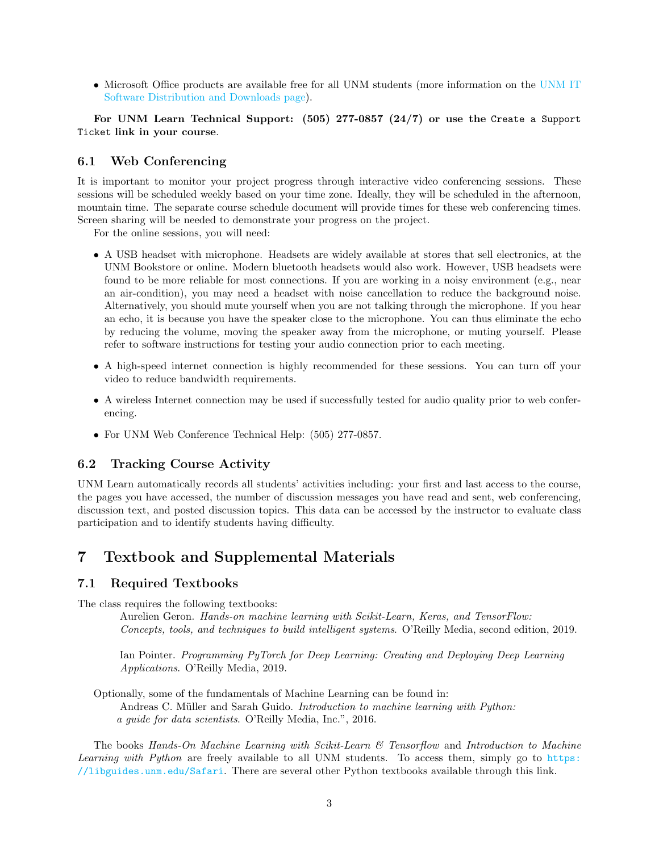• Microsoft Office products are available free for all UNM students (more information on the [UNM IT](http://it.unm.edu/software/index.html) [Software Distribution and Downloads page\)](http://it.unm.edu/software/index.html).

For UNM Learn Technical Support: (505) 277-0857 (24/7) or use the Create a Support Ticket link in your course.

#### 6.1 Web Conferencing

It is important to monitor your project progress through interactive video conferencing sessions. These sessions will be scheduled weekly based on your time zone. Ideally, they will be scheduled in the afternoon, mountain time. The separate course schedule document will provide times for these web conferencing times. Screen sharing will be needed to demonstrate your progress on the project.

For the online sessions, you will need:

- A USB headset with microphone. Headsets are widely available at stores that sell electronics, at the UNM Bookstore or online. Modern bluetooth headsets would also work. However, USB headsets were found to be more reliable for most connections. If you are working in a noisy environment (e.g., near an air-condition), you may need a headset with noise cancellation to reduce the background noise. Alternatively, you should mute yourself when you are not talking through the microphone. If you hear an echo, it is because you have the speaker close to the microphone. You can thus eliminate the echo by reducing the volume, moving the speaker away from the microphone, or muting yourself. Please refer to software instructions for testing your audio connection prior to each meeting.
- A high-speed internet connection is highly recommended for these sessions. You can turn off your video to reduce bandwidth requirements.
- A wireless Internet connection may be used if successfully tested for audio quality prior to web conferencing.
- For UNM Web Conference Technical Help: (505) 277-0857.

#### 6.2 Tracking Course Activity

UNM Learn automatically records all students' activities including: your first and last access to the course, the pages you have accessed, the number of discussion messages you have read and sent, web conferencing, discussion text, and posted discussion topics. This data can be accessed by the instructor to evaluate class participation and to identify students having difficulty.

### 7 Textbook and Supplemental Materials

#### 7.1 Required Textbooks

The class requires the following textbooks:

Aurelien Geron. Hands-on machine learning with Scikit-Learn, Keras, and TensorFlow: Concepts, tools, and techniques to build intelligent systems. O'Reilly Media, second edition, 2019.

Ian Pointer. Programming PyTorch for Deep Learning: Creating and Deploying Deep Learning Applications. O'Reilly Media, 2019.

Optionally, some of the fundamentals of Machine Learning can be found in: Andreas C. Müller and Sarah Guido. *Introduction to machine learning with Python:* a guide for data scientists. O'Reilly Media, Inc.", 2016.

The books Hands-On Machine Learning with Scikit-Learn  $\mathcal C$  Tensorflow and Introduction to Machine Learning with Python are freely available to all UNM students. To access them, simply go to [https:](https://libguides.unm.edu/Safari) [//libguides.unm.edu/Safari](https://libguides.unm.edu/Safari). There are several other Python textbooks available through this link.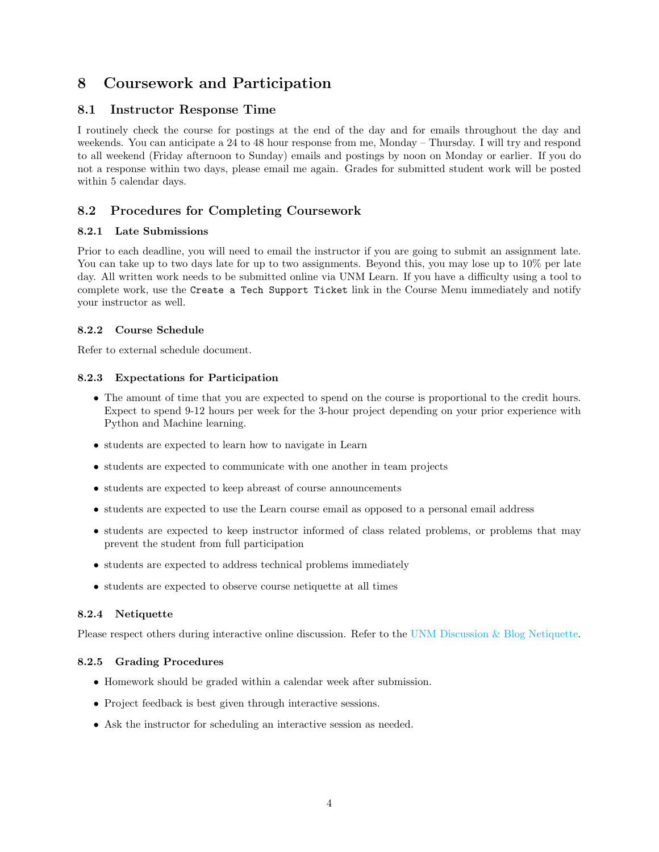# 8 Coursework and Participation

### 8.1 Instructor Response Time

I routinely check the course for postings at the end of the day and for emails throughout the day and weekends. You can anticipate a 24 to 48 hour response from me, Monday – Thursday. I will try and respond to all weekend (Friday afternoon to Sunday) emails and postings by noon on Monday or earlier. If you do not a response within two days, please email me again. Grades for submitted student work will be posted within 5 calendar days.

### 8.2 Procedures for Completing Coursework

#### 8.2.1 Late Submissions

Prior to each deadline, you will need to email the instructor if you are going to submit an assignment late. You can take up to two days late for up to two assignments. Beyond this, you may lose up to  $10\%$  per late day. All written work needs to be submitted online via UNM Learn. If you have a difficulty using a tool to complete work, use the Create a Tech Support Ticket link in the Course Menu immediately and notify your instructor as well.

#### 8.2.2 Course Schedule

Refer to external schedule document.

#### 8.2.3 Expectations for Participation

- The amount of time that you are expected to spend on the course is proportional to the credit hours. Expect to spend 9-12 hours per week for the 3-hour project depending on your prior experience with Python and Machine learning.
- students are expected to learn how to navigate in Learn
- students are expected to communicate with one another in team projects
- students are expected to keep abreast of course announcements
- students are expected to use the Learn course email as opposed to a personal email address
- students are expected to keep instructor informed of class related problems, or problems that may prevent the student from full participation
- students are expected to address technical problems immediately
- students are expected to observe course netiquette at all times

#### 8.2.4 Netiquette

Please respect others during interactive online discussion. Refer to the [UNM Discussion & Blog Netiquette.](http://online.unm.edu/help/learn/students/pdf/discussion-netiquette.pdf)

#### 8.2.5 Grading Procedures

- Homework should be graded within a calendar week after submission.
- Project feedback is best given through interactive sessions.
- Ask the instructor for scheduling an interactive session as needed.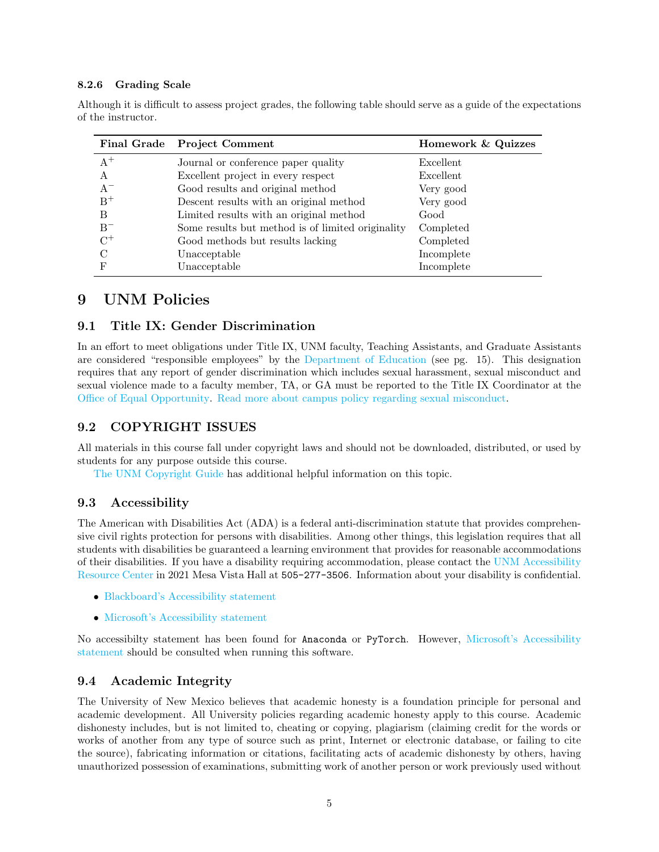#### 8.2.6 Grading Scale

|               | Final Grade Project Comment                       | Homework & Quizzes |  |  |
|---------------|---------------------------------------------------|--------------------|--|--|
| $A^+$         | Journal or conference paper quality               | Excellent          |  |  |
| A             | Excellent project in every respect                | Excellent          |  |  |
| $A^{-}$       | Good results and original method                  | Very good          |  |  |
| $B^+$         | Descent results with an original method           | Very good          |  |  |
| B             | Limited results with an original method           | Good               |  |  |
| $B^-$         | Some results but method is of limited originality | Completed          |  |  |
| $C^+$         | Good methods but results lacking                  | Completed          |  |  |
| $\mathcal{C}$ | Unacceptable                                      | Incomplete         |  |  |
| F             | Unacceptable                                      | Incomplete         |  |  |

Although it is difficult to assess project grades, the following table should serve as a guide of the expectations of the instructor.

# 9 UNM Policies

#### 9.1 Title IX: Gender Discrimination

In an effort to meet obligations under Title IX, UNM faculty, Teaching Assistants, and Graduate Assistants are considered "responsible employees" by the [Department of Education](https://www2.ed.gov/about/offices/list/ocr/docs/qa-201404-title-ix.pdf) (see pg. 15). This designation requires that any report of gender discrimination which includes sexual harassment, sexual misconduct and sexual violence made to a faculty member, TA, or GA must be reported to the Title IX Coordinator at the [Office of Equal Opportunity.](http://oeo.unm.edu/) [Read more about campus policy regarding sexual misconduct.](https://policy.unm.edu/university-policies/2000/2740.html)

#### 9.2 COPYRIGHT ISSUES

All materials in this course fall under copyright laws and should not be downloaded, distributed, or used by students for any purpose outside this course.

[The UNM Copyright Guide](https://copyright.unm.edu/) has additional helpful information on this topic.

#### 9.3 Accessibility

The American with Disabilities Act (ADA) is a federal anti-discrimination statute that provides comprehensive civil rights protection for persons with disabilities. Among other things, this legislation requires that all students with disabilities be guaranteed a learning environment that provides for reasonable accommodations of their disabilities. If you have a disability requiring accommodation, please contact the [UNM Accessibility](https://arc.unm.edu/) [Resource Center](https://arc.unm.edu/) in 2021 Mesa Vista Hall at 505-277-3506. Information about your disability is confidential.

- [Blackboard's Accessibility statement](https://www.blackboard.com/blackboard-accessibility-commitment)
- [Microsoft's Accessibility statement](https://www.microsoft.com/en-us/accessibility/)

No accessibilty statement has been found for Anaconda or PyTorch. However, [Microsoft's Accessibility](https://www.microsoft.com/en-us/accessibility/) [statement](https://www.microsoft.com/en-us/accessibility/) should be consulted when running this software.

#### 9.4 Academic Integrity

The University of New Mexico believes that academic honesty is a foundation principle for personal and academic development. All University policies regarding academic honesty apply to this course. Academic dishonesty includes, but is not limited to, cheating or copying, plagiarism (claiming credit for the words or works of another from any type of source such as print, Internet or electronic database, or failing to cite the source), fabricating information or citations, facilitating acts of academic dishonesty by others, having unauthorized possession of examinations, submitting work of another person or work previously used without